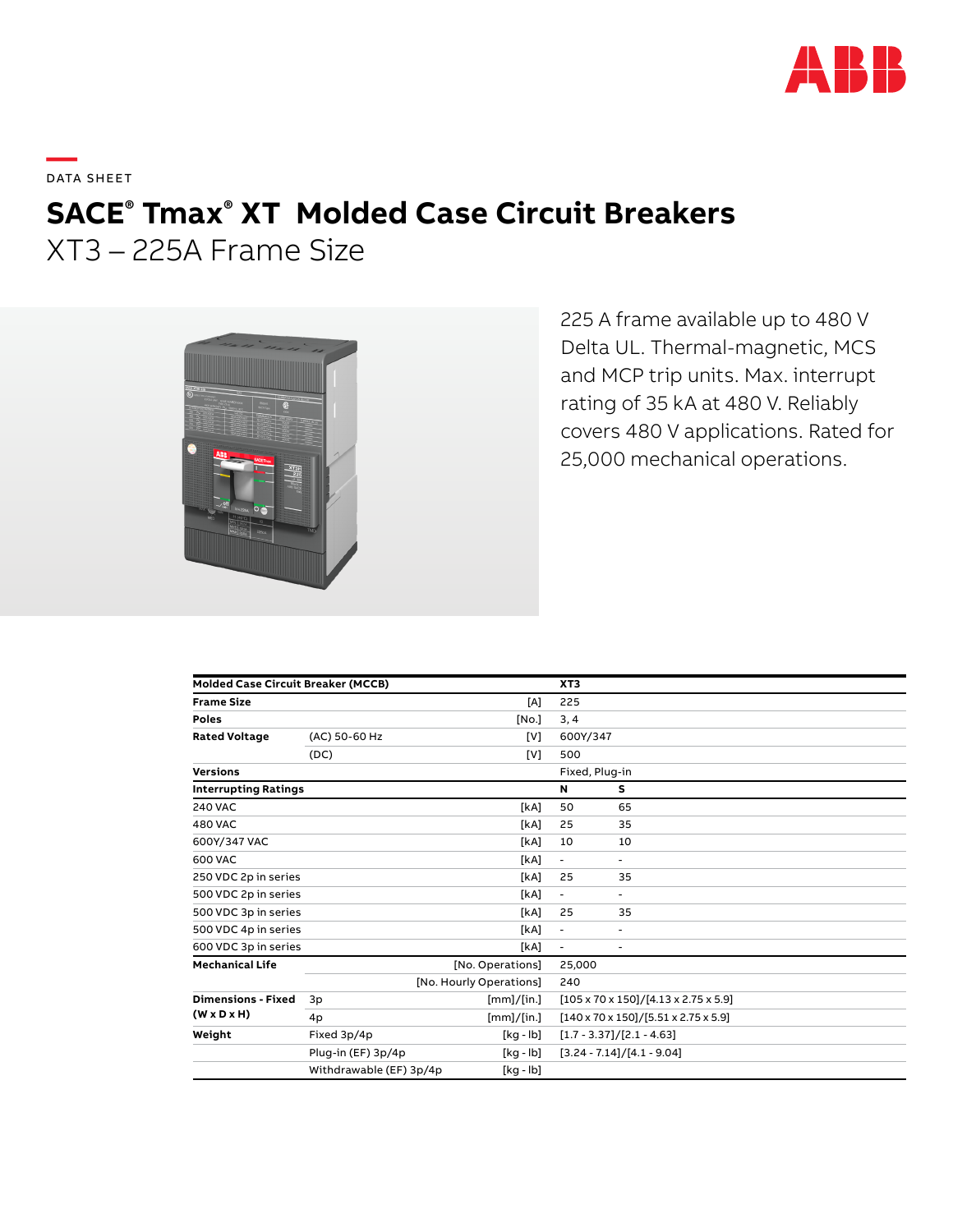

**—**  DATA SHEET

# **SACE® Tmax® XT Molded Case Circuit Breakers**

XT3 – 225A Frame Size



225 A frame available up to 480 V Delta UL. Thermal-magnetic, MCS and MCP trip units. Max. interrupt rating of 35 kA at 480 V. Reliably covers 480 V applications. Rated for 25,000 mechanical operations.

| <b>Molded Case Circuit Breaker (MCCB)</b>            |                         |                         | XT <sub>3</sub>                                            |                                                            |  |
|------------------------------------------------------|-------------------------|-------------------------|------------------------------------------------------------|------------------------------------------------------------|--|
| <b>Frame Size</b>                                    |                         | [A]                     | 225                                                        |                                                            |  |
| <b>Poles</b>                                         |                         | [No.]                   | 3, 4                                                       |                                                            |  |
| <b>Rated Voltage</b>                                 | (AC) 50-60 Hz           | [V]                     |                                                            | 600Y/347                                                   |  |
|                                                      | (DC)                    | [V]                     | 500                                                        |                                                            |  |
| <b>Versions</b>                                      |                         |                         | Fixed, Plug-in                                             |                                                            |  |
| <b>Interrupting Ratings</b>                          |                         |                         | N                                                          | s                                                          |  |
| <b>240 VAC</b>                                       |                         | [kA]                    | 50                                                         | 65                                                         |  |
| <b>480 VAC</b>                                       |                         | [kA]                    | 25                                                         | 35                                                         |  |
| 600Y/347 VAC                                         |                         | [kA]                    | 10                                                         | 10                                                         |  |
| 600 VAC                                              |                         | [kA]                    | $\overline{\phantom{a}}$                                   | ۰                                                          |  |
| 250 VDC 2p in series                                 |                         | [kA]                    | 25                                                         | 35                                                         |  |
| 500 VDC 2p in series                                 |                         | [kA]                    | $\blacksquare$                                             | $\blacksquare$                                             |  |
| 500 VDC 3p in series                                 |                         | [kA]                    | 25                                                         | 35                                                         |  |
| 500 VDC 4p in series                                 |                         | [kA]                    | $\overline{\phantom{a}}$                                   | ٠                                                          |  |
| 600 VDC 3p in series                                 |                         | [kA]                    | $\blacksquare$                                             | ٠                                                          |  |
| <b>Mechanical Life</b>                               | [No. Operations]        |                         | 25,000                                                     |                                                            |  |
|                                                      |                         | [No. Hourly Operations] | 240                                                        |                                                            |  |
| <b>Dimensions - Fixed</b><br>$(W \times D \times H)$ | 3p                      | [mm]/[in.]              |                                                            | $[105 \times 70 \times 150]/[4.13 \times 2.75 \times 5.9]$ |  |
|                                                      | 4p                      | [mm]/[in.]              | $[140 \times 70 \times 150]/[5.51 \times 2.75 \times 5.9]$ |                                                            |  |
| Weight                                               | Fixed 3p/4p             | [kg - lb]               | $[1.7 - 3.37]/[2.1 - 4.63]$                                |                                                            |  |
|                                                      | Plug-in (EF) 3p/4p      | $[kq - lb]$             | $[3.24 - 7.14]/[4.1 - 9.04]$                               |                                                            |  |
|                                                      | Withdrawable (EF) 3p/4p | [kg - lb]               |                                                            |                                                            |  |